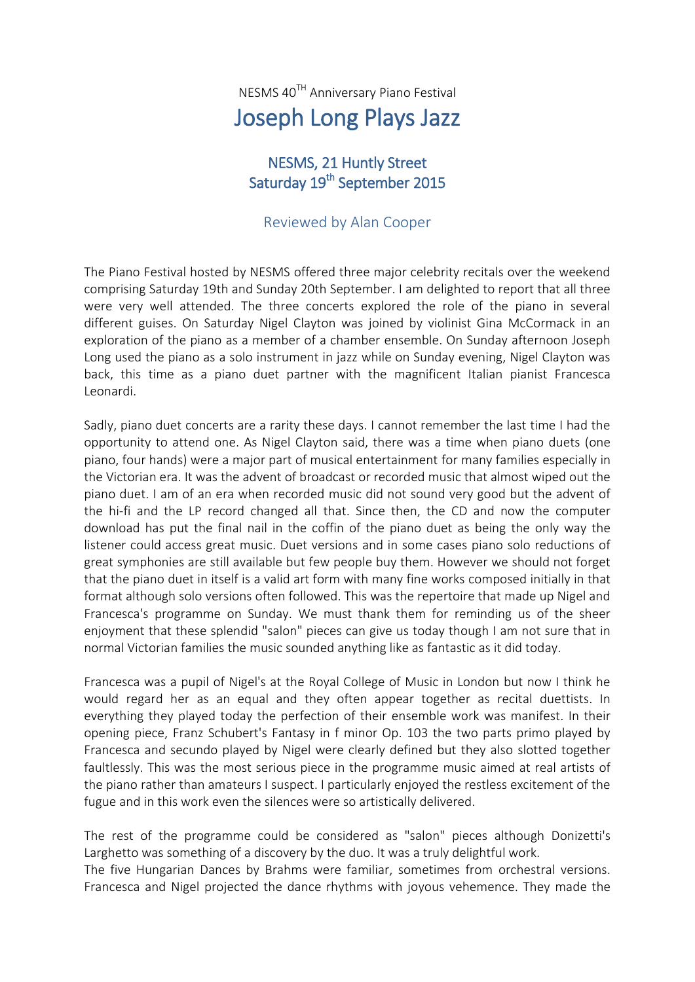NESMS 40TH Anniversary Piano Festival Joseph Long Plays Jazz

## NESMS, 21 Huntly Street Saturday 19<sup>th</sup> September 2015

## Reviewed by Alan Cooper

The Piano Festival hosted by NESMS offered three major celebrity recitals over the weekend comprising Saturday 19th and Sunday 20th September. I am delighted to report that all three were very well attended. The three concerts explored the role of the piano in several different guises. On Saturday Nigel Clayton was joined by violinist Gina McCormack in an exploration of the piano as a member of a chamber ensemble. On Sunday afternoon Joseph Long used the piano as a solo instrument in jazz while on Sunday evening, Nigel Clayton was back, this time as a piano duet partner with the magnificent Italian pianist Francesca Leonardi.

Sadly, piano duet concerts are a rarity these days. I cannot remember the last time I had the opportunity to attend one. As Nigel Clayton said, there was a time when piano duets (one piano, four hands) were a major part of musical entertainment for many families especially in the Victorian era. It was the advent of broadcast or recorded music that almost wiped out the piano duet. I am of an era when recorded music did not sound very good but the advent of the hi-fi and the LP record changed all that. Since then, the CD and now the computer download has put the final nail in the coffin of the piano duet as being the only way the listener could access great music. Duet versions and in some cases piano solo reductions of great symphonies are still available but few people buy them. However we should not forget that the piano duet in itself is a valid art form with many fine works composed initially in that format although solo versions often followed. This was the repertoire that made up Nigel and Francesca's programme on Sunday. We must thank them for reminding us of the sheer enjoyment that these splendid "salon" pieces can give us today though I am not sure that in normal Victorian families the music sounded anything like as fantastic as it did today.

Francesca was a pupil of Nigel's at the Royal College of Music in London but now I think he would regard her as an equal and they often appear together as recital duettists. In everything they played today the perfection of their ensemble work was manifest. In their opening piece, Franz Schubert's Fantasy in f minor Op. 103 the two parts primo played by Francesca and secundo played by Nigel were clearly defined but they also slotted together faultlessly. This was the most serious piece in the programme music aimed at real artists of the piano rather than amateurs I suspect. I particularly enjoyed the restless excitement of the fugue and in this work even the silences were so artistically delivered.

The rest of the programme could be considered as "salon" pieces although Donizetti's Larghetto was something of a discovery by the duo. It was a truly delightful work.

The five Hungarian Dances by Brahms were familiar, sometimes from orchestral versions. Francesca and Nigel projected the dance rhythms with joyous vehemence. They made the